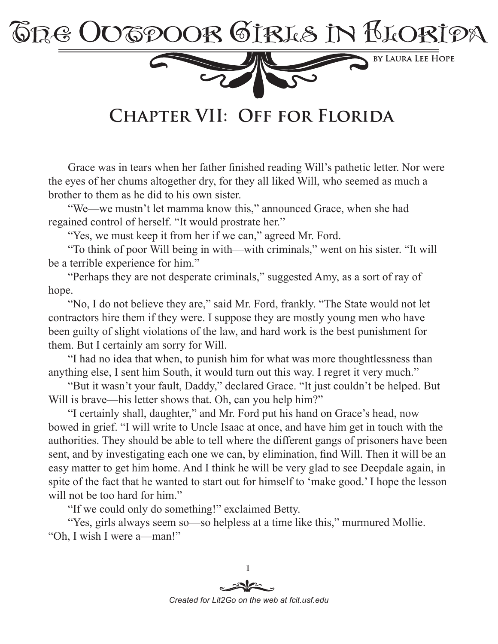

CHAPTER VII: OFF FOR FLORIDA

Grace was in tears when her father finished reading Will's pathetic letter. Nor were the eyes of her chums altogether dry, for they all liked Will, who seemed as much a brother to them as he did to his own sister.

"We—we mustn't let mamma know this," announced Grace, when she had regained control of herself. "It would prostrate her."

"Yes, we must keep it from her if we can," agreed Mr. Ford.

"To think of poor Will being in with—with criminals," went on his sister. "It will be a terrible experience for him."

"Perhaps they are not desperate criminals," suggested Amy, as a sort of ray of hope.

"No, I do not believe they are," said Mr. Ford, frankly. "The State would not let contractors hire them if they were. I suppose they are mostly young men who have been guilty of slight violations of the law, and hard work is the best punishment for them. But I certainly am sorry for Will.

"I had no idea that when, to punish him for what was more thoughtlessness than anything else, I sent him South, it would turn out this way. I regret it very much."

"But it wasn't your fault, Daddy," declared Grace. "It just couldn't be helped. But Will is brave—his letter shows that. Oh, can you help him?"

"I certainly shall, daughter," and Mr. Ford put his hand on Grace's head, now bowed in grief. "I will write to Uncle Isaac at once, and have him get in touch with the authorities. They should be able to tell where the different gangs of prisoners have been sent, and by investigating each one we can, by elimination, find Will. Then it will be an easy matter to get him home. And I think he will be very glad to see Deepdale again, in spite of the fact that he wanted to start out for himself to 'make good.' I hope the lesson will not be too hard for him."

"If we could only do something!" exclaimed Betty.

"Yes, girls always seem so—so helpless at a time like this," murmured Mollie. "Oh, I wish I were a—man!"

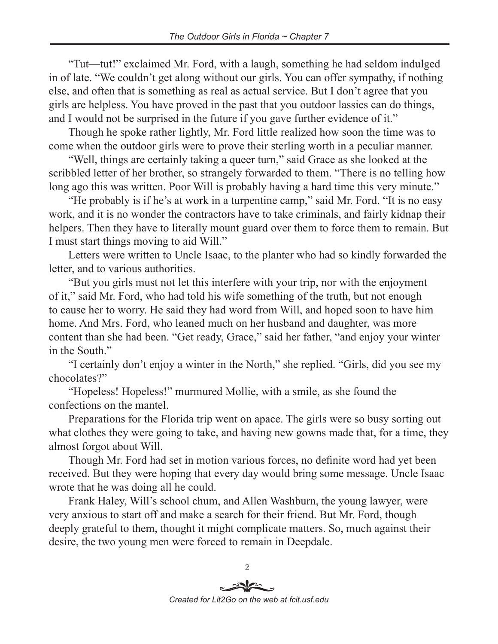"Tut—tut!" exclaimed Mr. Ford, with a laugh, something he had seldom indulged in of late. "We couldn't get along without our girls. You can offer sympathy, if nothing else, and often that is something as real as actual service. But I don't agree that you girls are helpless. You have proved in the past that you outdoor lassies can do things, and I would not be surprised in the future if you gave further evidence of it."

Though he spoke rather lightly, Mr. Ford little realized how soon the time was to come when the outdoor girls were to prove their sterling worth in a peculiar manner.

"Well, things are certainly taking a queer turn," said Grace as she looked at the scribbled letter of her brother, so strangely forwarded to them. "There is no telling how long ago this was written. Poor Will is probably having a hard time this very minute."

"He probably is if he's at work in a turpentine camp," said Mr. Ford. "It is no easy work, and it is no wonder the contractors have to take criminals, and fairly kidnap their helpers. Then they have to literally mount guard over them to force them to remain. But I must start things moving to aid Will."

Letters were written to Uncle Isaac, to the planter who had so kindly forwarded the letter, and to various authorities.

"But you girls must not let this interfere with your trip, nor with the enjoyment of it," said Mr. Ford, who had told his wife something of the truth, but not enough to cause her to worry. He said they had word from Will, and hoped soon to have him home. And Mrs. Ford, who leaned much on her husband and daughter, was more content than she had been. "Get ready, Grace," said her father, "and enjoy your winter in the South."

"I certainly don't enjoy a winter in the North," she replied. "Girls, did you see my chocolates?"

"Hopeless! Hopeless!" murmured Mollie, with a smile, as she found the confections on the mantel.

Preparations for the Florida trip went on apace. The girls were so busy sorting out what clothes they were going to take, and having new gowns made that, for a time, they almost forgot about Will.

Though Mr. Ford had set in motion various forces, no definite word had yet been received. But they were hoping that every day would bring some message. Uncle Isaac wrote that he was doing all he could.

Frank Haley, Will's school chum, and Allen Washburn, the young lawyer, were very anxious to start off and make a search for their friend. But Mr. Ford, though deeply grateful to them, thought it might complicate matters. So, much against their desire, the two young men were forced to remain in Deepdale.

 $\overline{2}$ *Created for Lit2Go on the web at fcit.usf.edu*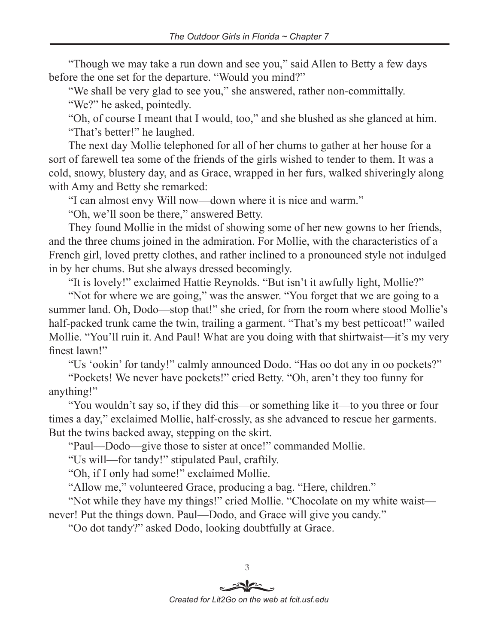"Though we may take a run down and see you," said Allen to Betty a few days before the one set for the departure. "Would you mind?"

"We shall be very glad to see you," she answered, rather non-committally.

"We?" he asked, pointedly.

"Oh, of course I meant that I would, too," and she blushed as she glanced at him. "That's better!" he laughed.

The next day Mollie telephoned for all of her chums to gather at her house for a sort of farewell tea some of the friends of the girls wished to tender to them. It was a cold, snowy, blustery day, and as Grace, wrapped in her furs, walked shiveringly along with Amy and Betty she remarked:

"I can almost envy Will now—down where it is nice and warm."

"Oh, we'll soon be there," answered Betty.

They found Mollie in the midst of showing some of her new gowns to her friends, and the three chums joined in the admiration. For Mollie, with the characteristics of a French girl, loved pretty clothes, and rather inclined to a pronounced style not indulged in by her chums. But she always dressed becomingly.

"It is lovely!" exclaimed Hattie Reynolds. "But isn't it awfully light, Mollie?"

"Not for where we are going," was the answer. "You forget that we are going to a summer land. Oh, Dodo—stop that!" she cried, for from the room where stood Mollie's half-packed trunk came the twin, trailing a garment. "That's my best petticoat!" wailed Mollie. "You'll ruin it. And Paul! What are you doing with that shirtwaist—it's my very finest lawn!"

"Us 'ookin' for tandy!" calmly announced Dodo. "Has oo dot any in oo pockets?"

"Pockets! We never have pockets!" cried Betty. "Oh, aren't they too funny for anything!"

"You wouldn't say so, if they did this—or something like it—to you three or four times a day," exclaimed Mollie, half-crossly, as she advanced to rescue her garments. But the twins backed away, stepping on the skirt.

"Paul—Dodo—give those to sister at once!" commanded Mollie.

"Us will—for tandy!" stipulated Paul, craftily.

"Oh, if I only had some!" exclaimed Mollie.

"Allow me," volunteered Grace, producing a bag. "Here, children."

"Not while they have my things!" cried Mollie. "Chocolate on my white waist never! Put the things down. Paul—Dodo, and Grace will give you candy."

"Oo dot tandy?" asked Dodo, looking doubtfully at Grace.

 $\mathfrak{B}$ *Created for Lit2Go on the web at fcit.usf.edu*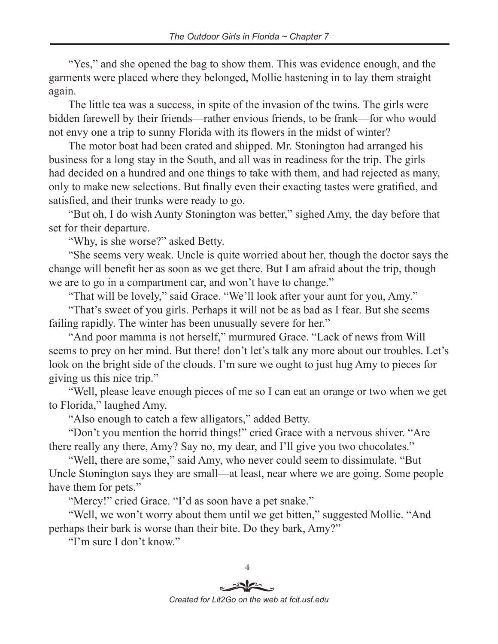"Yes," and she opened the bag to show them. This was evidence enough, and the garments were placed where they belonged, Mollie hastening in to lay them straight again.

The little tea was a success, in spite of the invasion of the twins. The girls were bidden farewell by their friends—rather envious friends, to be frank—for who would not envy one a trip to sunny Florida with its flowers in the midst of winter?

The motor boat had been crated and shipped. Mr. Stonington had arranged his business for a long stay in the South, and all was in readiness for the trip. The girls had decided on a hundred and one things to take with them, and had rejected as many, only to make new selections. But finally even their exacting tastes were gratified, and satisfied, and their trunks were ready to go.

"But oh, I do wish Aunty Stonington was better," sighed Amy, the day before that set for their departure.

"Why, is she worse?" asked Betty.

"She seems very weak. Uncle is quite worried about her, though the doctor says the change will benefit her as soon as we get there. But I am afraid about the trip, though we are to go in a compartment car, and won't have to change."

"That will be lovely," said Grace. "We'll look after your aunt for you, Amy."

"That's sweet of you girls. Perhaps it will not be as bad as I fear. But she seems failing rapidly. The winter has been unusually severe for her."

"And poor mamma is not herself," murmured Grace. "Lack of news from Will seems to prey on her mind. But there! don't let's talk any more about our troubles. Let's look on the bright side of the clouds. I'm sure we ought to just hug Amy to pieces for giving us this nice trip."

"Well, please leave enough pieces of me so I can eat an orange or two when we get to Florida," laughed Amy.

"Also enough to catch a few alligators," added Betty.

"Don't you mention the horrid things!" cried Grace with a nervous shiver. "Are there really any there, Amy? Say no, my dear, and I'll give you two chocolates."

"Well, there are some," said Amy, who never could seem to dissimulate. "But Uncle Stonington says they are small—at least, near where we are going. Some people have them for pets."

"Mercy!" cried Grace. "I'd as soon have a pet snake."

"Well, we won't worry about them until we get bitten," suggested Mollie. "And perhaps their bark is worse than their bite. Do they bark, Amy?"

"I'm sure I don't know."

 $\overline{4}$ 

*Created for Lit2Go on the web at fcit.usf.edu*